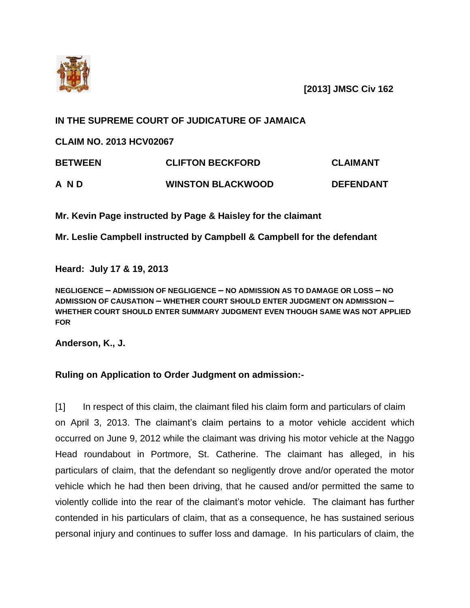

**[2013] JMSC Civ 162**

## **IN THE SUPREME COURT OF JUDICATURE OF JAMAICA**

**CLAIM NO. 2013 HCV02067**

| <b>BETWEEN</b> | <b>CLIFTON BECKFORD</b>  | CLAIMANT         |
|----------------|--------------------------|------------------|
| A N D          | <b>WINSTON BLACKWOOD</b> | <b>DEFENDANT</b> |

**Mr. Kevin Page instructed by Page & Haisley for the claimant**

**Mr. Leslie Campbell instructed by Campbell & Campbell for the defendant** 

**Heard: July 17 & 19, 2013**

**NEGLIGENCE – ADMISSION OF NEGLIGENCE – NO ADMISSION AS TO DAMAGE OR LOSS – NO ADMISSION OF CAUSATION – WHETHER COURT SHOULD ENTER JUDGMENT ON ADMISSION – WHETHER COURT SHOULD ENTER SUMMARY JUDGMENT EVEN THOUGH SAME WAS NOT APPLIED FOR**

**Anderson, K., J.**

## **Ruling on Application to Order Judgment on admission:-**

[1] In respect of this claim, the claimant filed his claim form and particulars of claim on April 3, 2013. The claimant's claim pertains to a motor vehicle accident which occurred on June 9, 2012 while the claimant was driving his motor vehicle at the Naggo Head roundabout in Portmore, St. Catherine. The claimant has alleged, in his particulars of claim, that the defendant so negligently drove and/or operated the motor vehicle which he had then been driving, that he caused and/or permitted the same to violently collide into the rear of the claimant's motor vehicle. The claimant has further contended in his particulars of claim, that as a consequence, he has sustained serious personal injury and continues to suffer loss and damage. In his particulars of claim, the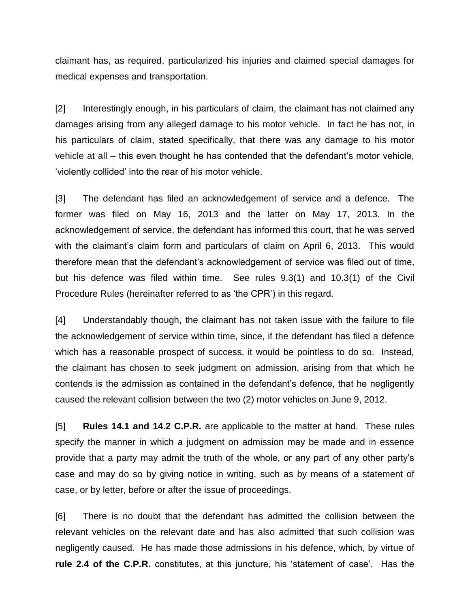claimant has, as required, particularized his injuries and claimed special damages for medical expenses and transportation.

[2] Interestingly enough, in his particulars of claim, the claimant has not claimed any damages arising from any alleged damage to his motor vehicle. In fact he has not, in his particulars of claim, stated specifically, that there was any damage to his motor vehicle at all – this even thought he has contended that the defendant's motor vehicle, 'violently collided' into the rear of his motor vehicle.

[3] The defendant has filed an acknowledgement of service and a defence. The former was filed on May 16, 2013 and the latter on May 17, 2013. In the acknowledgement of service, the defendant has informed this court, that he was served with the claimant's claim form and particulars of claim on April 6, 2013. This would therefore mean that the defendant's acknowledgement of service was filed out of time, but his defence was filed within time. See rules 9.3(1) and 10.3(1) of the Civil Procedure Rules (hereinafter referred to as 'the CPR') in this regard.

[4] Understandably though, the claimant has not taken issue with the failure to file the acknowledgement of service within time, since, if the defendant has filed a defence which has a reasonable prospect of success, it would be pointless to do so. Instead, the claimant has chosen to seek judgment on admission, arising from that which he contends is the admission as contained in the defendant's defence, that he negligently caused the relevant collision between the two (2) motor vehicles on June 9, 2012.

[5] **Rules 14.1 and 14.2 C.P.R.** are applicable to the matter at hand. These rules specify the manner in which a judgment on admission may be made and in essence provide that a party may admit the truth of the whole, or any part of any other party's case and may do so by giving notice in writing, such as by means of a statement of case, or by letter, before or after the issue of proceedings.

[6] There is no doubt that the defendant has admitted the collision between the relevant vehicles on the relevant date and has also admitted that such collision was negligently caused. He has made those admissions in his defence, which, by virtue of **rule 2.4 of the C.P.R.** constitutes, at this juncture, his 'statement of case'. Has the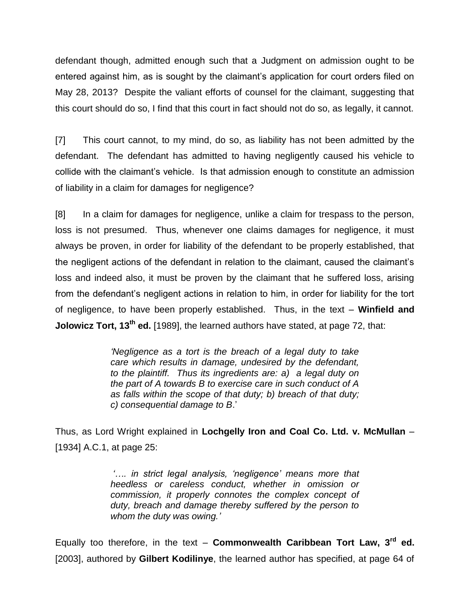defendant though, admitted enough such that a Judgment on admission ought to be entered against him, as is sought by the claimant's application for court orders filed on May 28, 2013? Despite the valiant efforts of counsel for the claimant, suggesting that this court should do so, I find that this court in fact should not do so, as legally, it cannot.

[7] This court cannot, to my mind, do so, as liability has not been admitted by the defendant. The defendant has admitted to having negligently caused his vehicle to collide with the claimant's vehicle. Is that admission enough to constitute an admission of liability in a claim for damages for negligence?

[8] In a claim for damages for negligence, unlike a claim for trespass to the person, loss is not presumed. Thus, whenever one claims damages for negligence, it must always be proven, in order for liability of the defendant to be properly established, that the negligent actions of the defendant in relation to the claimant, caused the claimant's loss and indeed also, it must be proven by the claimant that he suffered loss, arising from the defendant's negligent actions in relation to him, in order for liability for the tort of negligence, to have been properly established. Thus, in the text – **Winfield and Jolowicz Tort, 13th ed.** [1989], the learned authors have stated, at page 72, that:

> *'Negligence as a tort is the breach of a legal duty to take care which results in damage, undesired by the defendant, to the plaintiff. Thus its ingredients are: a) a legal duty on the part of A towards B to exercise care in such conduct of A as falls within the scope of that duty; b) breach of that duty; c) consequential damage to B*.'

Thus, as Lord Wright explained in **Lochgelly Iron and Coal Co. Ltd. v. McMullan** – [1934] A.C.1, at page 25:

> *'…. in strict legal analysis, 'negligence' means more that heedless or careless conduct, whether in omission or commission, it properly connotes the complex concept of duty, breach and damage thereby suffered by the person to whom the duty was owing.'*

Equally too therefore, in the text – **Commonwealth Caribbean Tort Law, 3rd ed.** [2003], authored by **Gilbert Kodilinye**, the learned author has specified, at page 64 of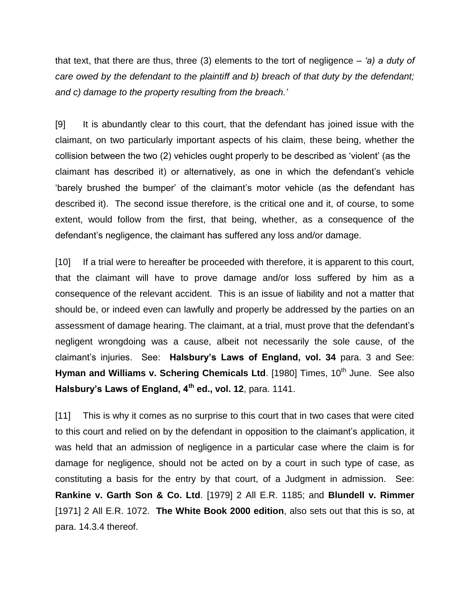that text, that there are thus, three (3) elements to the tort of negligence *– 'a) a duty of care owed by the defendant to the plaintiff and b) breach of that duty by the defendant; and c) damage to the property resulting from the breach.'*

[9] It is abundantly clear to this court, that the defendant has joined issue with the claimant, on two particularly important aspects of his claim, these being, whether the collision between the two (2) vehicles ought properly to be described as 'violent' (as the claimant has described it) or alternatively, as one in which the defendant's vehicle 'barely brushed the bumper' of the claimant's motor vehicle (as the defendant has described it). The second issue therefore, is the critical one and it, of course, to some extent, would follow from the first, that being, whether, as a consequence of the defendant's negligence, the claimant has suffered any loss and/or damage.

[10] If a trial were to hereafter be proceeded with therefore, it is apparent to this court, that the claimant will have to prove damage and/or loss suffered by him as a consequence of the relevant accident. This is an issue of liability and not a matter that should be, or indeed even can lawfully and properly be addressed by the parties on an assessment of damage hearing. The claimant, at a trial, must prove that the defendant's negligent wrongdoing was a cause, albeit not necessarily the sole cause, of the claimant's injuries. See: **Halsbury's Laws of England, vol. 34** para. 3 and See: Hyman and Williams v. Schering Chemicals Ltd. [1980] Times, 10<sup>th</sup> June. See also **Halsbury's Laws of England, 4th ed., vol. 12**, para. 1141.

[11] This is why it comes as no surprise to this court that in two cases that were cited to this court and relied on by the defendant in opposition to the claimant's application, it was held that an admission of negligence in a particular case where the claim is for damage for negligence, should not be acted on by a court in such type of case, as constituting a basis for the entry by that court, of a Judgment in admission. See: **Rankine v. Garth Son & Co. Ltd**. [1979] 2 All E.R. 1185; and **Blundell v. Rimmer** [1971] 2 All E.R. 1072. **The White Book 2000 edition**, also sets out that this is so, at para. 14.3.4 thereof.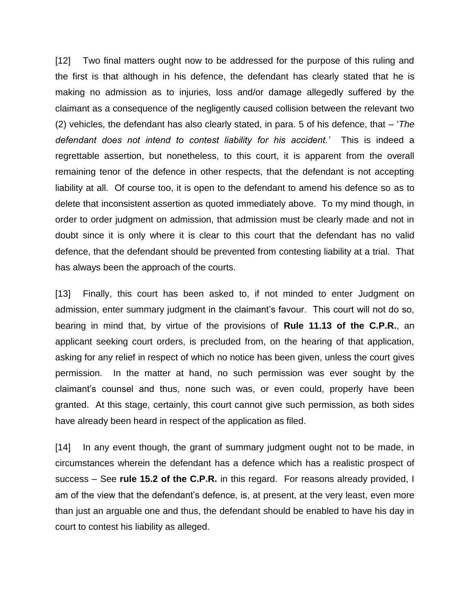[12] Two final matters ought now to be addressed for the purpose of this ruling and the first is that although in his defence, the defendant has clearly stated that he is making no admission as to injuries, loss and/or damage allegedly suffered by the claimant as a consequence of the negligently caused collision between the relevant two (2) vehicles, the defendant has also clearly stated, in para. 5 of his defence, that – '*The defendant does not intend to contest liability for his accident.'* This is indeed a regrettable assertion, but nonetheless, to this court, it is apparent from the overall remaining tenor of the defence in other respects, that the defendant is not accepting liability at all. Of course too, it is open to the defendant to amend his defence so as to delete that inconsistent assertion as quoted immediately above. To my mind though, in order to order judgment on admission, that admission must be clearly made and not in doubt since it is only where it is clear to this court that the defendant has no valid defence, that the defendant should be prevented from contesting liability at a trial. That has always been the approach of the courts.

[13] Finally, this court has been asked to, if not minded to enter Judgment on admission, enter summary judgment in the claimant's favour. This court will not do so, bearing in mind that, by virtue of the provisions of **Rule 11.13 of the C.P.R.**, an applicant seeking court orders, is precluded from, on the hearing of that application, asking for any relief in respect of which no notice has been given, unless the court gives permission. In the matter at hand, no such permission was ever sought by the claimant's counsel and thus, none such was, or even could, properly have been granted. At this stage, certainly, this court cannot give such permission, as both sides have already been heard in respect of the application as filed.

[14] In any event though, the grant of summary judgment ought not to be made, in circumstances wherein the defendant has a defence which has a realistic prospect of success – See **rule 15.2 of the C.P.R.** in this regard. For reasons already provided, I am of the view that the defendant's defence, is, at present, at the very least, even more than just an arguable one and thus, the defendant should be enabled to have his day in court to contest his liability as alleged.